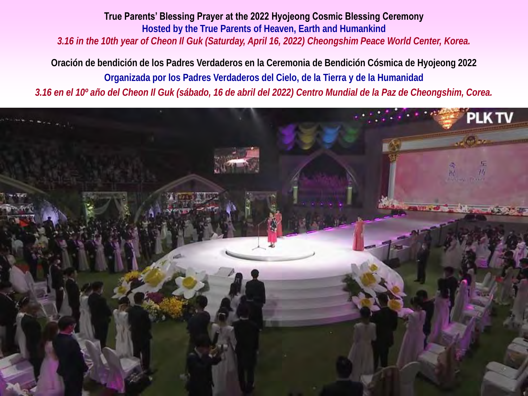**True Parents' Blessing Prayer at the 2022 Hyojeong Cosmic Blessing Ceremony Hosted by the True Parents of Heaven, Earth and Humankind** *3.16 in the 10th year of Cheon Il Guk (Saturday, April 16, 2022) Cheongshim Peace World Center, Korea.*

**Oración de bendición de los Padres Verdaderos en la Ceremonia de Bendición Cósmica de Hyojeong 2022 Organizada por los Padres Verdaderos del Cielo, de la Tierra y de la Humanidad**  *3.16 en el 10º año del Cheon Il Guk (sábado, 16 de abril del 2022) Centro Mundial de la Paz de Cheongshim, Corea.*

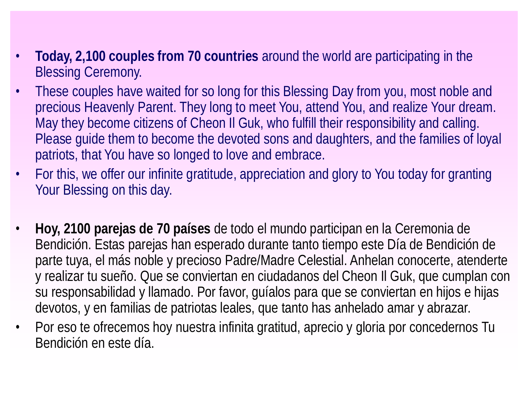- **Today, 2,100 couples from 70 countries** around the world are participating in the Blessing Ceremony.
- These couples have waited for so long for this Blessing Day from you, most noble and precious Heavenly Parent. They long to meet You, attend You, and realize Your dream. May they become citizens of Cheon Il Guk, who fulfill their responsibility and calling. Please guide them to become the devoted sons and daughters, and the families of loyal patriots, that You have so longed to love and embrace.
- For this, we offer our infinite gratitude, appreciation and glory to You today for granting Your Blessing on this day.
- **Hoy, 2100 parejas de 70 países** de todo el mundo participan en la Ceremonia de Bendición. Estas parejas han esperado durante tanto tiempo este Día de Bendición de parte tuya, el más noble y precioso Padre/Madre Celestial. Anhelan conocerte, atenderte y realizar tu sueño. Que se conviertan en ciudadanos del Cheon Il Guk, que cumplan con su responsabilidad y llamado. Por favor, guíalos para que se conviertan en hijos e hijas devotos, y en familias de patriotas leales, que tanto has anhelado amar y abrazar.
- Por eso te ofrecemos hoy nuestra infinita gratitud, aprecio y gloria por concedernos Tu Bendición en este día.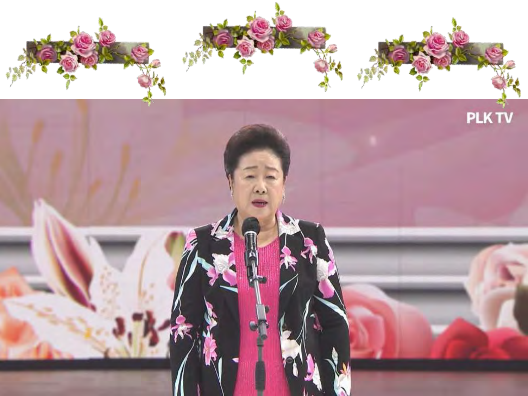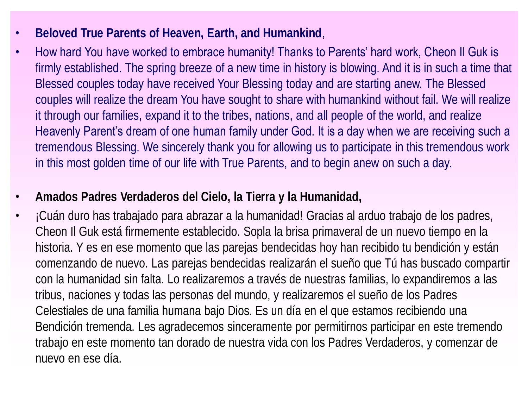- **Beloved True Parents of Heaven, Earth, and Humankind**,
- How hard You have worked to embrace humanity! Thanks to Parents' hard work, Cheon Il Guk is firmly established. The spring breeze of a new time in history is blowing. And it is in such a time that Blessed couples today have received Your Blessing today and are starting anew. The Blessed couples will realize the dream You have sought to share with humankind without fail. We will realize it through our families, expand it to the tribes, nations, and all people of the world, and realize Heavenly Parent's dream of one human family under God. It is a day when we are receiving such a tremendous Blessing. We sincerely thank you for allowing us to participate in this tremendous work in this most golden time of our life with True Parents, and to begin anew on such a day.
- **Amados Padres Verdaderos del Cielo, la Tierra y la Humanidad,**
- i Cuán duro has trabajado para abrazar a la humanidad! Gracias al arduo trabajo de los padres, Cheon Il Guk está firmemente establecido. Sopla la brisa primaveral de un nuevo tiempo en la historia. Y es en ese momento que las parejas bendecidas hoy han recibido tu bendición y están comenzando de nuevo. Las parejas bendecidas realizarán el sueño que Tú has buscado compartir con la humanidad sin falta. Lo realizaremos a través de nuestras familias, lo expandiremos a las tribus, naciones y todas las personas del mundo, y realizaremos el sueño de los Padres Celestiales de una familia humana bajo Dios. Es un día en el que estamos recibiendo una Bendición tremenda. Les agradecemos sinceramente por permitirnos participar en este tremendo trabajo en este momento tan dorado de nuestra vida con los Padres Verdaderos, y comenzar de nuevo en ese día.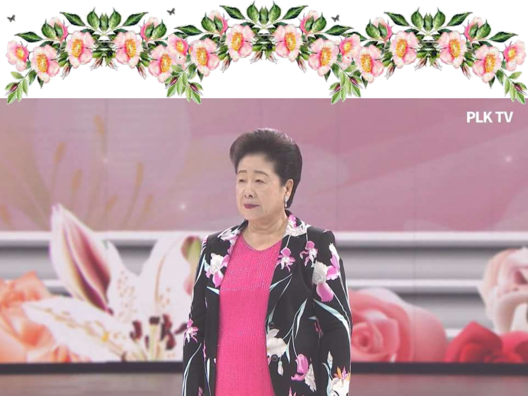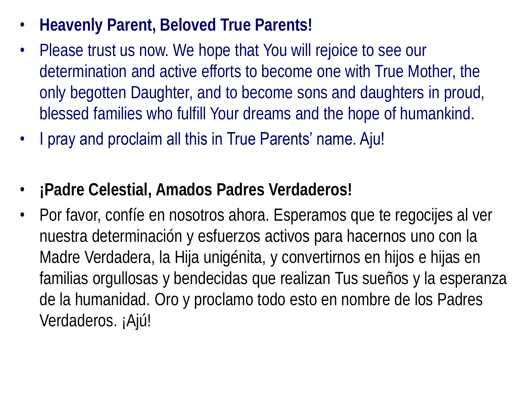- **Heavenly Parent, Beloved True Parents!**
- Please trust us now. We hope that You will rejoice to see our determination and active efforts to become one with True Mother, the only begotten Daughter, and to become sons and daughters in proud, blessed families who fulfill Your dreams and the hope of humankind.
- I pray and proclaim all this in True Parents' name. Aju!
- **¡Padre Celestial, Amados Padres Verdaderos!**
- Por favor, confíe en nosotros ahora. Esperamos que te regocijes al ver nuestra determinación y esfuerzos activos para hacernos uno con la Madre Verdadera, la Hija unigénita, y convertirnos en hijos e hijas en familias orgullosas y bendecidas que realizan Tus sueños y la esperanza de la humanidad. Oro y proclamo todo esto en nombre de los Padres Verdaderos. ¡Ajú!